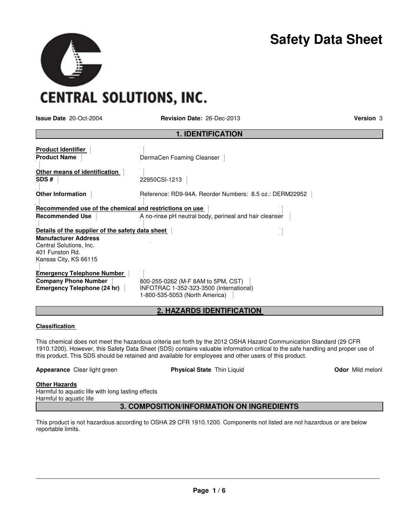

**CENTRAL SOLUTIONS, INC.** 

**Issue Date** 20-Oct-2004 **Revision Date:** 26-Dec-2013 **Version** 3

| <b>1. IDENTIFICATION</b>                                                                                                                               |                                                                                                                 |  |  |
|--------------------------------------------------------------------------------------------------------------------------------------------------------|-----------------------------------------------------------------------------------------------------------------|--|--|
| <b>Product Identifier</b><br><b>Product Name</b>                                                                                                       | DermaCen Foaming Cleanser                                                                                       |  |  |
| Other means of identification<br>SDS#                                                                                                                  | 22950CSI-1213                                                                                                   |  |  |
| <b>Other Information</b>                                                                                                                               | Reference: RD9-94A. Reorder Numbers: 8.5 oz.: DERM22952                                                         |  |  |
| Recommended use of the chemical and restrictions on use<br><b>Recommended Use</b>                                                                      | A no-rinse pH neutral body, perineal and hair cleanser                                                          |  |  |
| Details of the supplier of the safety data sheet<br><b>Manufacturer Address</b><br>Central Solutions, Inc.<br>401 Funston Rd.<br>Kansas City, KS 66115 |                                                                                                                 |  |  |
| <b>Emergency Telephone Number</b><br><b>Company Phone Number</b><br>Emergency Telephone (24 hr)                                                        | 800-255-0262 (M-F 8AM to 5PM, CST)<br>INFOTRAC 1-352-323-3500 (International)<br>1-800-535-5053 (North America) |  |  |

## **2. HAZARDS IDENTIFICATION**

### **Classification**

This chemical does not meet the hazardous criteria set forth by the 2012 OSHA Hazard Communication Standard (29 CFR 1910.1200). However, this Safety Data Sheet (SDS) contains valuable information critical to the safe handling and proper use of this product. This SDS should be retained and available for employees and other users of this product.

| <b>Appearance</b> Clear light green               | <b>Physical State Thin Liquid</b> | <b>Odor</b> Mild melonl |
|---------------------------------------------------|-----------------------------------|-------------------------|
| <b>Other Hazards</b>                              |                                   |                         |
| Harmful to aquatic life with long lasting effects |                                   |                         |

Harmful to aquatic life with long lasting effects Harmful to aquatic life

**3. COMPOSITION/INFORMATION ON INGREDIENTS** 

This product is not hazardous according to OSHA 29 CFR 1910.1200. Components not listed are not hazardous or are below reportable limits.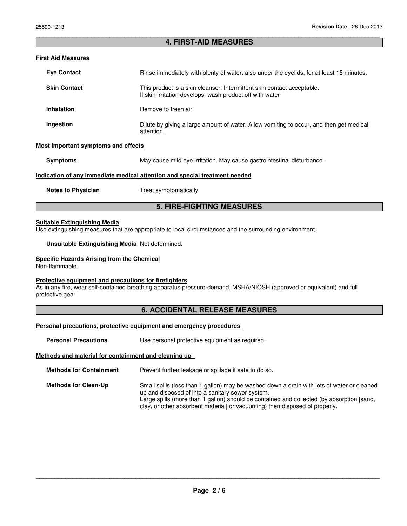### \_\_\_\_\_\_\_\_\_\_\_\_\_\_\_\_\_\_\_\_\_\_\_\_\_\_\_\_\_\_\_\_\_\_\_\_\_\_\_\_\_\_\_\_\_\_\_\_\_\_\_\_\_\_\_\_\_\_\_\_\_\_\_\_\_\_\_\_\_\_\_\_\_\_\_\_\_\_\_\_\_\_\_\_\_\_\_\_\_\_\_\_\_ **4. FIRST-AID MEASURES**

### **First Aid Measures**

| <b>Eye Contact</b>  | Rinse immediately with plenty of water, also under the eyelids, for at least 15 minutes.                                           |
|---------------------|------------------------------------------------------------------------------------------------------------------------------------|
| <b>Skin Contact</b> | This product is a skin cleanser. Intermittent skin contact acceptable.<br>If skin irritation develops, wash product off with water |
| <b>Inhalation</b>   | Remove to fresh air.                                                                                                               |
| Ingestion           | Dilute by giving a large amount of water. Allow vomiting to occur, and then get medical<br>attention.                              |
|                     |                                                                                                                                    |

### **Most important symptoms and effects**

**Symptoms May cause mild eye irritation. May cause gastrointestinal disturbance.** 

### **Indication of any immediate medical attention and special treatment needed**

**Notes to Physician Treat symptomatically.** 

### **5. FIRE-FIGHTING MEASURES**

### **Suitable Extinguishing Media**

Use extinguishing measures that are appropriate to local circumstances and the surrounding environment.

#### **Unsuitable Extinguishing Media** Not determined.

#### **Specific Hazards Arising from the Chemical**

Non-flammable.

#### **Protective equipment and precautions for firefighters**

As in any fire, wear self-contained breathing apparatus pressure-demand, MSHA/NIOSH (approved or equivalent) and full protective gear.

### **6. ACCIDENTAL RELEASE MEASURES**

#### **Personal precautions, protective equipment and emergency procedures**

**Personal Precautions Use personal protective equipment as required.** 

#### **Methods and material for containment and cleaning up**

| <b>Methods for Containment</b> | Prevent further leakage or spillage if safe to do so.                                                                                                                                                                                                                                                                      |
|--------------------------------|----------------------------------------------------------------------------------------------------------------------------------------------------------------------------------------------------------------------------------------------------------------------------------------------------------------------------|
| <b>Methods for Clean-Up</b>    | Small spills (less than 1 gallon) may be washed down a drain with lots of water or cleaned<br>up and disposed of into a sanitary sewer system.<br>Large spills (more than 1 gallon) should be contained and collected (by absorption [sand,<br>clay, or other absorbent material] or vacuuming) then disposed of properly. |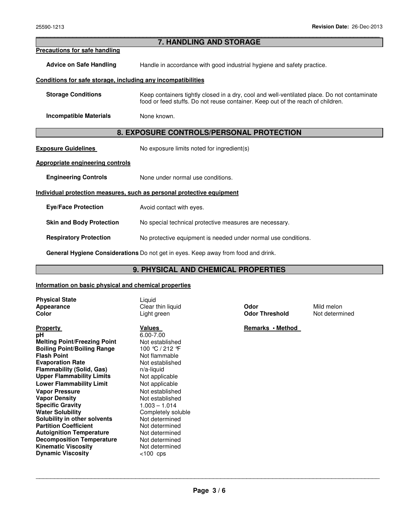|                                                              | 7. HANDLING AND STORAGE                                                                                                                                                        |  |  |
|--------------------------------------------------------------|--------------------------------------------------------------------------------------------------------------------------------------------------------------------------------|--|--|
| <b>Precautions for safe handling</b>                         |                                                                                                                                                                                |  |  |
| <b>Advice on Safe Handling</b>                               | Handle in accordance with good industrial hygiene and safety practice.                                                                                                         |  |  |
| Conditions for safe storage, including any incompatibilities |                                                                                                                                                                                |  |  |
| <b>Storage Conditions</b>                                    | Keep containers tightly closed in a dry, cool and well-ventilated place. Do not contaminate<br>food or feed stuffs. Do not reuse container. Keep out of the reach of children. |  |  |
| <b>Incompatible Materials</b>                                | None known.                                                                                                                                                                    |  |  |
| 8. EXPOSURE CONTROLS/PERSONAL PROTECTION                     |                                                                                                                                                                                |  |  |
| <b>Exposure Guidelines</b>                                   | No exposure limits noted for ingredient(s)                                                                                                                                     |  |  |
| <b>Appropriate engineering controls</b>                      |                                                                                                                                                                                |  |  |
| <b>Engineering Controls</b>                                  | None under normal use conditions.                                                                                                                                              |  |  |
|                                                              | Individual protection measures, such as personal protective equipment                                                                                                          |  |  |
| <b>Eye/Face Protection</b>                                   | Avoid contact with eyes.                                                                                                                                                       |  |  |
| <b>Skin and Body Protection</b>                              | No special technical protective measures are necessary.                                                                                                                        |  |  |
| <b>Respiratory Protection</b>                                | No protective equipment is needed under normal use conditions.                                                                                                                 |  |  |
|                                                              |                                                                                                                                                                                |  |  |

\_\_\_\_\_\_\_\_\_\_\_\_\_\_\_\_\_\_\_\_\_\_\_\_\_\_\_\_\_\_\_\_\_\_\_\_\_\_\_\_\_\_\_\_\_\_\_\_\_\_\_\_\_\_\_\_\_\_\_\_\_\_\_\_\_\_\_\_\_\_\_\_\_\_\_\_\_\_\_\_\_\_\_\_\_\_\_\_\_\_\_\_\_

**General Hygiene Considerations** Do not get in eyes. Keep away from food and drink.

# **9. PHYSICAL AND CHEMICAL PROPERTIES**

## **Information on basic physical and chemical properties**

| <b>Physical State</b><br>Appearance<br><b>Color</b>                                                                                                                                                                                                                                                                                                                                                                                                                                                                                                             | Liguid<br>Clear thin liquid<br>Light green                                                                                                                                                                                                                                                                                                   | Odor<br><b>Odor Threshold</b> | Mild melon<br>Not determined |
|-----------------------------------------------------------------------------------------------------------------------------------------------------------------------------------------------------------------------------------------------------------------------------------------------------------------------------------------------------------------------------------------------------------------------------------------------------------------------------------------------------------------------------------------------------------------|----------------------------------------------------------------------------------------------------------------------------------------------------------------------------------------------------------------------------------------------------------------------------------------------------------------------------------------------|-------------------------------|------------------------------|
| <b>Property</b><br>рH<br><b>Melting Point/Freezing Point</b><br><b>Boiling Point/Boiling Range</b><br><b>Flash Point</b><br><b>Evaporation Rate</b><br>Flammability (Solid, Gas)<br><b>Upper Flammability Limits</b><br><b>Lower Flammability Limit</b><br><b>Vapor Pressure</b><br><b>Vapor Density</b><br><b>Specific Gravity</b><br><b>Water Solubility</b><br>Solubility in other solvents<br><b>Partition Coefficient</b><br><b>Autoignition Temperature</b><br><b>Decomposition Temperature</b><br><b>Kinematic Viscosity</b><br><b>Dynamic Viscosity</b> | Values<br>$6.00 - 7.00$<br>Not established<br>100 ℃ / 212 F<br>Not flammable<br>Not established<br>$n/a$ -liquid<br>Not applicable<br>Not applicable<br>Not established<br>Not established<br>$1.003 - 1.014$<br>Completely soluble<br>Not determined<br>Not determined<br>Not determined<br>Not determined<br>Not determined<br>$< 100$ cps | Remarks • Method              |                              |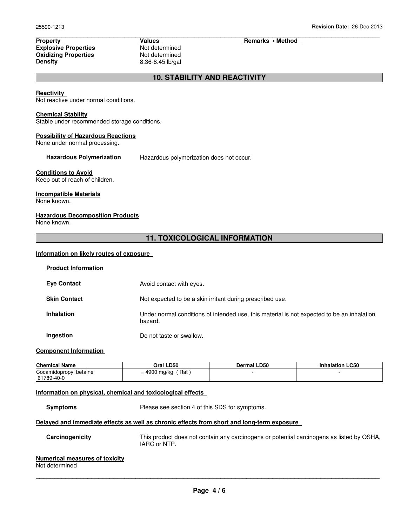**Property Values Remarks • Method Explosive Properties Not determined**<br> **Oxidizing Properties Not determined Oxidizing Properties<br>Density** 

**Density** 8.36-8.45 lb/gal

## **10. STABILITY AND REACTIVITY**

\_\_\_\_\_\_\_\_\_\_\_\_\_\_\_\_\_\_\_\_\_\_\_\_\_\_\_\_\_\_\_\_\_\_\_\_\_\_\_\_\_\_\_\_\_\_\_\_\_\_\_\_\_\_\_\_\_\_\_\_\_\_\_\_\_\_\_\_\_\_\_\_\_\_\_\_\_\_\_\_\_\_\_\_\_\_\_\_\_\_\_\_\_

#### **Reactivity**

Not reactive under normal conditions.

#### **Chemical Stability**

Stable under recommended storage conditions.

#### **Possibility of Hazardous Reactions**

None under normal processing.

**Hazardous Polymerization** Hazardous polymerization does not occur.

#### **Conditions to Avoid**

Keep out of reach of children.

### **Incompatible Materials**

None known.

### **Hazardous Decomposition Products**

None known.

## **11. TOXICOLOGICAL INFORMATION**

### **Information on likely routes of exposure**

| <b>Product Information</b> |                                                                                                       |
|----------------------------|-------------------------------------------------------------------------------------------------------|
| <b>Eve Contact</b>         | Avoid contact with eyes.                                                                              |
| <b>Skin Contact</b>        | Not expected to be a skin irritant during prescribed use.                                             |
| Inhalation                 | Under normal conditions of intended use, this material is not expected to be an inhalation<br>hazard. |
| Ingestion                  | Do not taste or swallow.                                                                              |

#### **Component Information**

| <b>Chemical Name</b>   | Oral LD50           | <b>Dermal LD50</b> | <b>Inhalation LC50</b> |
|------------------------|---------------------|--------------------|------------------------|
| Cocamidopropyl betaine | Rat<br>= 4900 mg/kg |                    |                        |
| 61789-40-0             |                     |                    |                        |

### **Information on physical, chemical and toxicological effects**

**Symptoms** Please see section 4 of this SDS for symptoms.

### **Delayed and immediate effects as well as chronic effects from short and long-term exposure**

**Carcinogenicity** This product does not contain any carcinogens or potential carcinogens as listed by OSHA, IARC or NTP.

### **Numerical measures of toxicity**

Not determined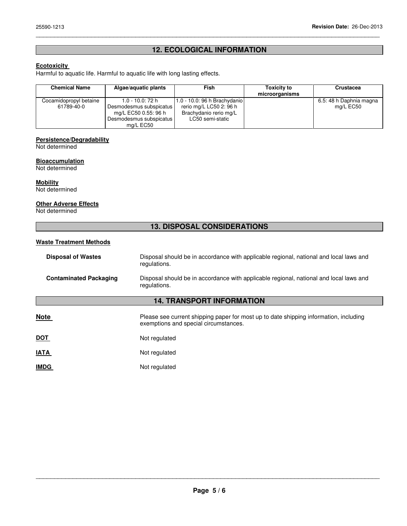# **12. ECOLOGICAL INFORMATION**

\_\_\_\_\_\_\_\_\_\_\_\_\_\_\_\_\_\_\_\_\_\_\_\_\_\_\_\_\_\_\_\_\_\_\_\_\_\_\_\_\_\_\_\_\_\_\_\_\_\_\_\_\_\_\_\_\_\_\_\_\_\_\_\_\_\_\_\_\_\_\_\_\_\_\_\_\_\_\_\_\_\_\_\_\_\_\_\_\_\_\_\_\_

## **Ecotoxicity**

Harmful to aquatic life. Harmful to aquatic life with long lasting effects.

| <b>Chemical Name</b>                 | Algae/aguatic plants                                                                                           | Fish                                                                                                  | <b>Toxicity to</b><br>microorganisms | Crustacea                            |
|--------------------------------------|----------------------------------------------------------------------------------------------------------------|-------------------------------------------------------------------------------------------------------|--------------------------------------|--------------------------------------|
| Cocamidopropyl betaine<br>61789-40-0 | $1.0 - 10.0$ : 72 h<br>Desmodesmus subspicatus<br>mg/L EC50 0.55: 96 h<br>Desmodesmus subspicatus<br>mg/L EC50 | 1.0 - 10.0: 96 h Brachydanio<br>rerio mg/L LC50 2: 96 h<br>Brachydanio rerio mg/L<br>LC50 semi-static |                                      | 6.5: 48 h Daphnia magna<br>mg/L EC50 |

### **Persistence/Degradability**

Not determined

### **Bioaccumulation**

Not determined

### **Mobility**

Not determined

### **Other Adverse Effects**

Not determined

# **13. DISPOSAL CONSIDERATIONS**

### **Waste Treatment Methods**

| <b>Disposal of Wastes</b>        | Disposal should be in accordance with applicable regional, national and local laws and<br>regulations.                         |  |  |
|----------------------------------|--------------------------------------------------------------------------------------------------------------------------------|--|--|
| <b>Contaminated Packaging</b>    | Disposal should be in accordance with applicable regional, national and local laws and<br>regulations.                         |  |  |
| <b>14. TRANSPORT INFORMATION</b> |                                                                                                                                |  |  |
| <b>Note</b>                      | Please see current shipping paper for most up to date shipping information, including<br>exemptions and special circumstances. |  |  |
| <b>DOT</b>                       | Not regulated                                                                                                                  |  |  |
| <b>IATA</b>                      | Not regulated                                                                                                                  |  |  |
| <b>IMDG</b>                      | Not regulated                                                                                                                  |  |  |